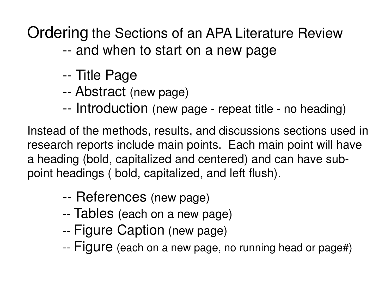Ordering the Sections of an APA Literature Review

-and when to start on a new page

- --Title Page
- --Abstract (new page)
- --Introduction (new page - repeat title - no heading)

Instead of the methods, results, and discussions sections used in research reports include main points. Each main point will have a heading (bold, capitalized and centered) and can have subpoint headings ( bold, capitalized, and left flush).

- --References (new page)
- ---- Tables (each on a new page)<br>-- Figure Caption (new page)
- Figure Caption (new page)
- --Figure (each on a new page, no running head or page#)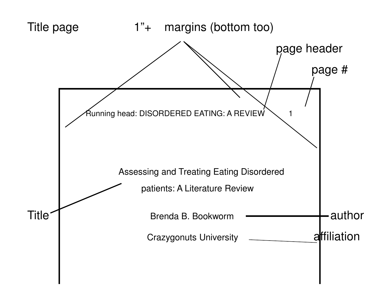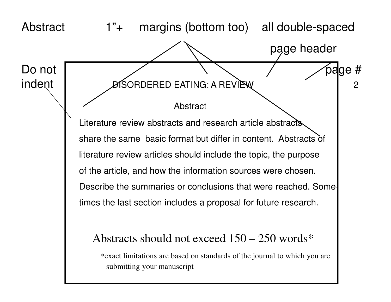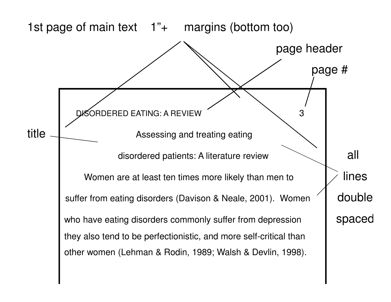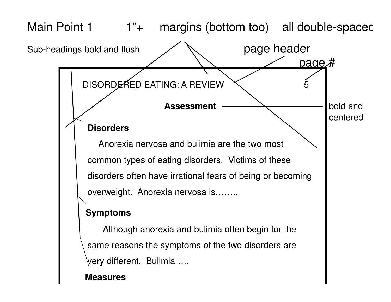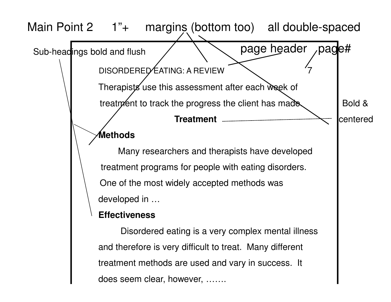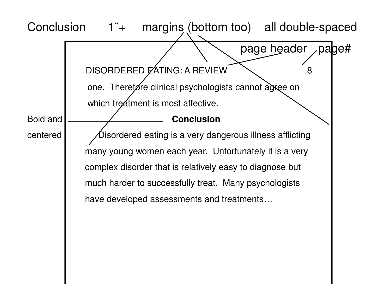